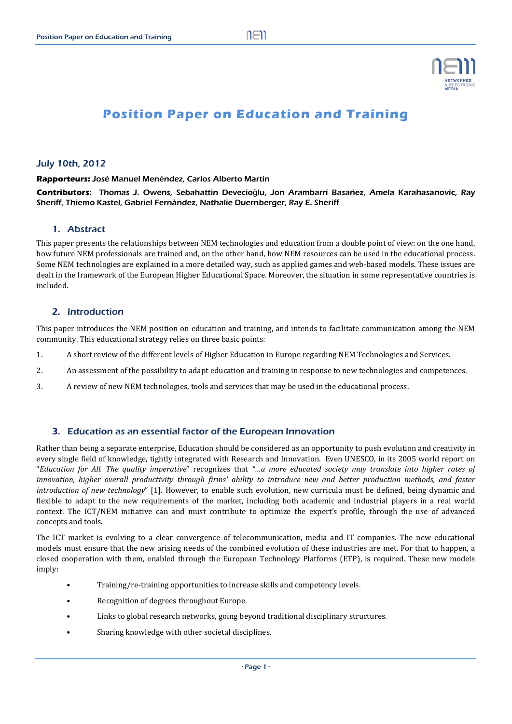

# **Position Paper on Education and Training**

#### July 10th, 2012

#### **Rapporteurs:** José Manuel Menéndez, Carlos Alberto Martín

**Contributors**: Thomas J. Owens, Sebahattin Devecioğlu, Jon Arambarri Basañez, Amela Karahasanovic, Ray Sheriff, Thiemo Kastel, Gabriel Fernàndez, Nathalie Duernberger, Ray E. Sheriff

#### 1. Abstract

This paper presents the relationships between NEM technologies and education from a double point of view: on the one hand, how future NEM professionals are trained and, on the other hand, how NEM resources can be used in the educational process. Some NEM technologies are explained in a more detailed way, such as applied games and web-based models. These issues are dealt in the framework of the European Higher Educational Space. Moreover, the situation in some representative countries is included. 

#### 2. Introduction

This paper introduces the NEM position on education and training, and intends to facilitate communication among the NEM community. This educational strategy relies on three basic points:

- 1. A short review of the different levels of Higher Education in Europe regarding NEM Technologies and Services.
- 2. An assessment of the possibility to adapt education and training in response to new technologies and competences.
- 3. A review of new NEM technologies, tools and services that may be used in the educational process.

#### 3. Education as an essential factor of the European Innovation

Rather than being a separate enterprise, Education should be considered as an opportunity to push evolution and creativity in every single field of knowledge, tightly integrated with Research and Innovation. Even UNESCO, in its 2005 world report on "Education for All. The quality imperative" recognizes that "...a more educated society may translate into higher rates of innovation, higher overall productivity through firms' ability to introduce new and better production methods, and faster *introduction* of *new technology*" [1]. However, to enable such evolution, new curricula must be defined, being dynamic and flexible to adapt to the new requirements of the market, including both academic and industrial players in a real world context. The ICT/NEM initiative can and must contribute to optimize the expert's profile, through the use of advanced concepts and tools.

The ICT market is evolving to a clear convergence of telecommunication, media and IT companies. The new educational models must ensure that the new arising needs of the combined evolution of these industries are met. For that to happen, a closed cooperation with them, enabled through the European Technology Platforms (ETP), is required. These new models imply: 

- Training/re-training opportunities to increase skills and competency levels.
- Recognition of degrees throughout Europe.
- Links to global research networks, going beyond traditional disciplinary structures.
- Sharing knowledge with other societal disciplines.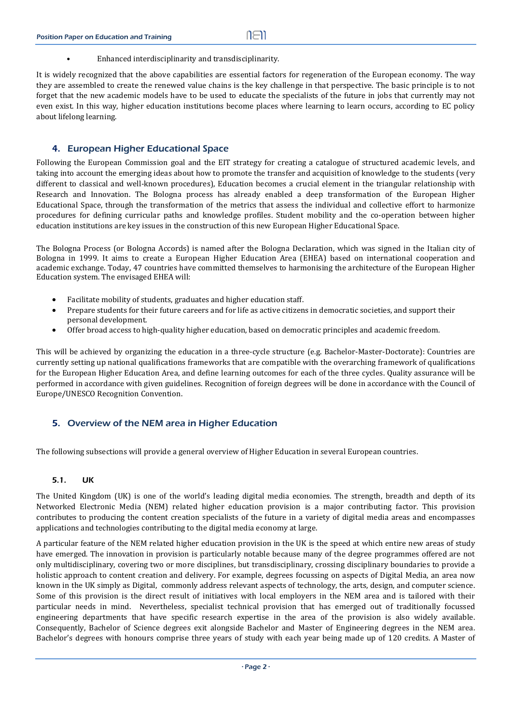Enhanced interdisciplinarity and transdisciplinarity.

It is widely recognized that the above capabilities are essential factors for regeneration of the European economy. The way they are assembled to create the renewed value chains is the key challenge in that perspective. The basic principle is to not forget that the new academic models have to be used to educate the specialists of the future in jobs that currently may not even exist. In this way, higher education institutions become places where learning to learn occurs, according to EC policy about lifelong learning.

# 4. European Higher Educational Space

Following the European Commission goal and the EIT strategy for creating a catalogue of structured academic levels, and taking into account the emerging ideas about how to promote the transfer and acquisition of knowledge to the students (very different to classical and well-known procedures), Education becomes a crucial element in the triangular relationship with Research and Innovation. The Bologna process has already enabled a deep transformation of the European Higher Educational Space, through the transformation of the metrics that assess the individual and collective effort to harmonize procedures for defining curricular paths and knowledge profiles. Student mobility and the co-operation between higher education institutions are key issues in the construction of this new European Higher Educational Space.

The Bologna Process (or Bologna Accords) is named after the Bologna Declaration, which was signed in the Italian city of Bologna in 1999. It aims to create a European Higher Education Area (EHEA) based on international cooperation and academic exchange. Today, 47 countries have committed themselves to harmonising the architecture of the European Higher Education system. The envisaged EHEA will:

- Facilitate mobility of students, graduates and higher education staff.
- Prepare students for their future careers and for life as active citizens in democratic societies, and support their personal development.
- Offer broad access to high-quality higher education, based on democratic principles and academic freedom.

This will be achieved by organizing the education in a three-cycle structure (e.g. Bachelor-Master-Doctorate): Countries are currently setting up national qualifications frameworks that are compatible with the overarching framework of qualifications for the European Higher Education Area, and define learning outcomes for each of the three cycles. Quality assurance will be performed in accordance with given guidelines. Recognition of foreign degrees will be done in accordance with the Council of Europe/UNESCO Recognition Convention.

# 5. Overview of the NEM area in Higher Education

The following subsections will provide a general overview of Higher Education in several European countries.

# 5.1. UK

The United Kingdom (UK) is one of the world's leading digital media economies. The strength, breadth and depth of its Networked Electronic Media (NEM) related higher education provision is a major contributing factor. This provision contributes to producing the content creation specialists of the future in a variety of digital media areas and encompasses applications and technologies contributing to the digital media economy at large.

A particular feature of the NEM related higher education provision in the UK is the speed at which entire new areas of study have emerged. The innovation in provision is particularly notable because many of the degree programmes offered are not only multidisciplinary, covering two or more disciplines, but transdisciplinary, crossing disciplinary boundaries to provide a holistic approach to content creation and delivery. For example, degrees focussing on aspects of Digital Media, an area now known in the UK simply as Digital, commonly address relevant aspects of technology, the arts, design, and computer science. Some of this provision is the direct result of initiatives with local employers in the NEM area and is tailored with their particular needs in mind. Nevertheless, specialist technical provision that has emerged out of traditionally focussed engineering departments that have specific research expertise in the area of the provision is also widely available. Consequently, Bachelor of Science degrees exit alongside Bachelor and Master of Engineering degrees in the NEM area. Bachelor's degrees with honours comprise three years of study with each year being made up of 120 credits. A Master of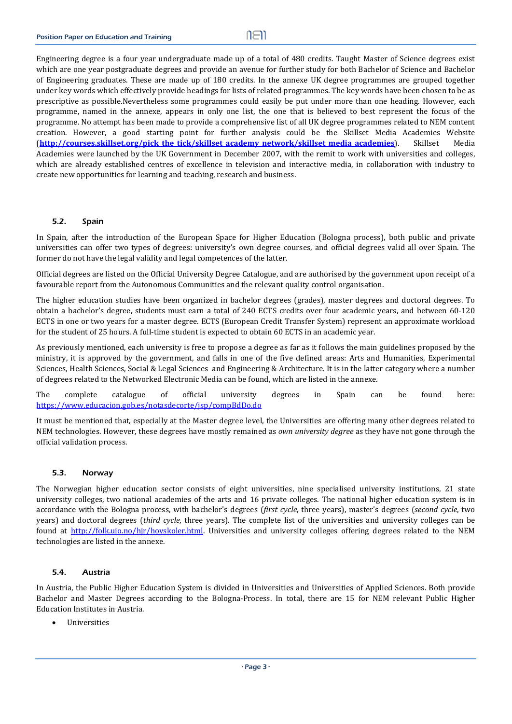$n \in \mathbb{N}$ 

Engineering degree is a four year undergraduate made up of a total of 480 credits. Taught Master of Science degrees exist which are one year postgraduate degrees and provide an avenue for further study for both Bachelor of Science and Bachelor of Engineering graduates. These are made up of 180 credits. In the annexe UK degree programmes are grouped together under key words which effectively provide headings for lists of related programmes. The key words have been chosen to be as prescriptive as possible.Nevertheless some programmes could easily be put under more than one heading. However, each programme, named in the annexe, appears in only one list, the one that is believed to best represent the focus of the programme. No attempt has been made to provide a comprehensive list of all UK degree programmes related to NEM content creation. However, a good starting point for further analysis could be the Skillset Media Academies Website (**http://courses.skillset.org/pick the tick/skillset academy network/skillset media academies**). Skillset Media Academies were launched by the UK Government in December 2007, with the remit to work with universities and colleges, which are already established centres of excellence in television and interactive media, in collaboration with industry to create new opportunities for learning and teaching, research and business.

#### 5.2. Spain

In Spain, after the introduction of the European Space for Higher Education (Bologna process), both public and private universities can offer two types of degrees: university's own degree courses, and official degrees valid all over Spain. The former do not have the legal validity and legal competences of the latter.

Official degrees are listed on the Official University Degree Catalogue, and are authorised by the government upon receipt of a favourable report from the Autonomous Communities and the relevant quality control organisation.

The higher education studies have been organized in bachelor degrees (grades), master degrees and doctoral degrees. To obtain a bachelor's degree, students must earn a total of 240 ECTS credits over four academic years, and between 60-120 ECTS in one or two years for a master degree. ECTS (European Credit Transfer System) represent an approximate workload for the student of 25 hours. A full-time student is expected to obtain 60 ECTS in an academic year.

As previously mentioned, each university is free to propose a degree as far as it follows the main guidelines proposed by the ministry, it is approved by the government, and falls in one of the five defined areas: Arts and Humanities, Experimental Sciences, Health Sciences, Social & Legal Sciences and Engineering & Architecture. It is in the latter category where a number of degrees related to the Networked Electronic Media can be found, which are listed in the annexe.

The complete catalogue of official university degrees in Spain can be found here: https://www.educacion.gob.es/notasdecorte/jsp/compBdDo.do 

It must be mentioned that, especially at the Master degree level, the Universities are offering many other degrees related to NEM technologies. However, these degrees have mostly remained as *own university degree* as they have not gone through the official validation process.

#### 5.3. Norway

The Norwegian higher education sector consists of eight universities, nine specialised university institutions, 21 state university colleges, two national academies of the arts and 16 private colleges. The national higher education system is in accordance with the Bologna process, with bachelor's degrees (*first cycle*, three years), master's degrees (*second cycle*, two years) and doctoral degrees (*third cycle*, three years). The complete list of the universities and university colleges can be found at http://folk.uio.no/hjr/hoyskoler.html. Universities and university colleges offering degrees related to the NEM technologies are listed in the annexe.

#### 5.4. Austria

In Austria, the Public Higher Education System is divided in Universities and Universities of Applied Sciences. Both provide Bachelor and Master Degrees according to the Bologna-Process. In total, there are 15 for NEM relevant Public Higher Education Institutes in Austria.

Universities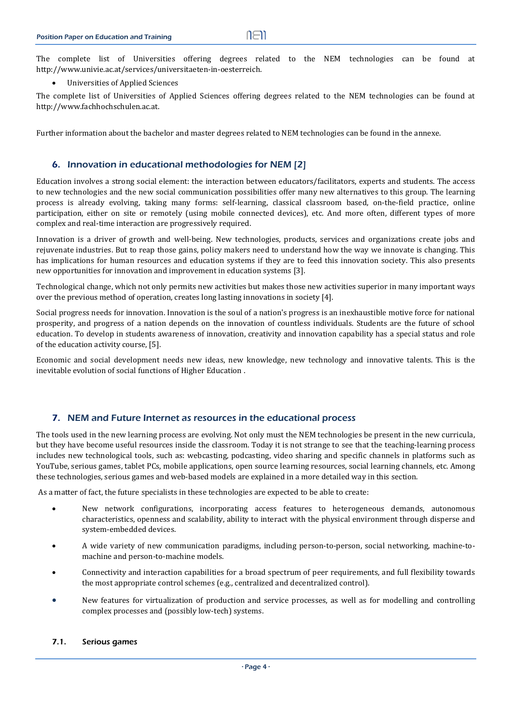The complete list of Universities offering degrees related to the NEM technologies can be found at http://www.univie.ac.at/services/universitaeten‐in‐oesterreich.

Universities of Applied Sciences 

The complete list of Universities of Applied Sciences offering degrees related to the NEM technologies can be found at http://www.fachhochschulen.ac.at. 

Further information about the bachelor and master degrees related to NEM technologies can be found in the annexe.

## 6. Innovation in educational methodologies for NEM [2]

Education involves a strong social element: the interaction between educators/facilitators, experts and students. The access to new technologies and the new social communication possibilities offer many new alternatives to this group. The learning process is already evolving, taking many forms: self-learning, classical classroom based, on-the-field practice, online participation, either on site or remotely (using mobile connected devices), etc. And more often, different types of more complex and real-time interaction are progressively required.

Innovation is a driver of growth and well-being. New technologies, products, services and organizations create jobs and rejuvenate industries. But to reap those gains, policy makers need to understand how the way we innovate is changing. This has implications for human resources and education systems if they are to feed this innovation society. This also presents new opportunities for innovation and improvement in education systems [3].

Technological change, which not only permits new activities but makes those new activities superior in many important ways over the previous method of operation, creates long lasting innovations in society [4].

Social progress needs for innovation. Innovation is the soul of a nation's progress is an inexhaustible motive force for national prosperity, and progress of a nation depends on the innovation of countless individuals. Students are the future of school education. To develop in students awareness of innovation, creativity and innovation capability has a special status and role of the education activity course, [5].

Economic and social development needs new ideas, new knowledge, new technology and innovative talents. This is the inevitable evolution of social functions of Higher Education.

# 7. NEM and Future Internet as resources in the educational process

The tools used in the new learning process are evolving. Not only must the NEM technologies be present in the new curricula, but they have become useful resources inside the classroom. Today it is not strange to see that the teaching-learning process includes new technological tools, such as: webcasting, podcasting, video sharing and specific channels in platforms such as YouTube, serious games, tablet PCs, mobile applications, open source learning resources, social learning channels, etc. Among these technologies, serious games and web-based models are explained in a more detailed way in this section.

As a matter of fact, the future specialists in these technologies are expected to be able to create:

- New network configurations, incorporating access features to heterogeneous demands, autonomous characteristics, openness and scalability, ability to interact with the physical environment through disperse and system-embedded devices.
- A wide variety of new communication paradigms, including person-to-person, social networking, machine-tomachine and person-to-machine models.
- Connectivity and interaction capabilities for a broad spectrum of peer requirements, and full flexibility towards the most appropriate control schemes (e.g., centralized and decentralized control).
- New features for virtualization of production and service processes, as well as for modelling and controlling complex processes and (possibly low-tech) systems.

#### 7.1. Serious games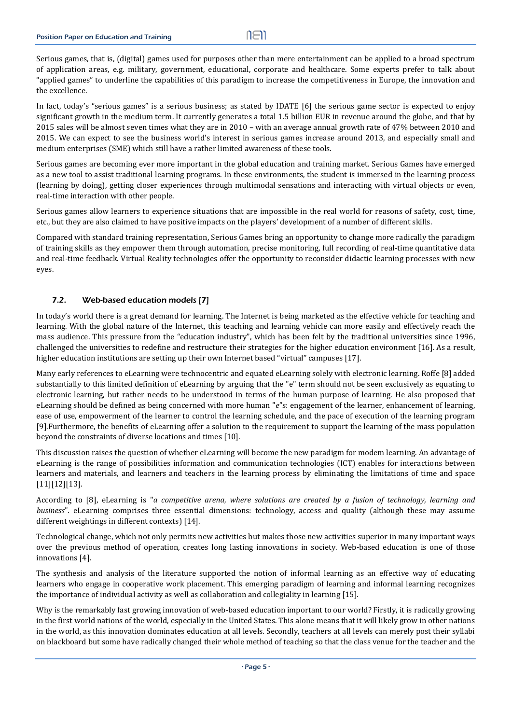Serious games, that is, (digital) games used for purposes other than mere entertainment can be applied to a broad spectrum of application areas, e.g. military, government, educational, corporate and healthcare. Some experts prefer to talk about "applied games" to underline the capabilities of this paradigm to increase the competitiveness in Europe, the innovation and the excellence.

In fact, today's "serious games" is a serious business; as stated by IDATE [6] the serious game sector is expected to enjoy significant growth in the medium term. It currently generates a total 1.5 billion EUR in revenue around the globe, and that by 2015 sales will be almost seven times what they are in 2010 – with an average annual growth rate of 47% between 2010 and 2015. We can expect to see the business world's interest in serious games increase around 2013, and especially small and medium enterprises (SME) which still have a rather limited awareness of these tools.

Serious games are becoming ever more important in the global education and training market. Serious Games have emerged as a new tool to assist traditional learning programs. In these environments, the student is immersed in the learning process (learning by doing), getting closer experiences through multimodal sensations and interacting with virtual objects or even, real-time interaction with other people.

Serious games allow learners to experience situations that are impossible in the real world for reasons of safety, cost, time, etc., but they are also claimed to have positive impacts on the players' development of a number of different skills.

Compared with standard training representation, Serious Games bring an opportunity to change more radically the paradigm of training skills as they empower them through automation, precise monitoring, full recording of real-time quantitative data and real-time feedback. Virtual Reality technologies offer the opportunity to reconsider didactic learning processes with new eyes.

#### 7.2. Web-based education models [7]

In today's world there is a great demand for learning. The Internet is being marketed as the effective vehicle for teaching and learning. With the global nature of the Internet, this teaching and learning vehicle can more easily and effectively reach the mass audience. This pressure from the "education industry", which has been felt by the traditional universities since 1996, challenged the universities to redefine and restructure their strategies for the higher education environment [16]. As a result, higher education institutions are setting up their own Internet based "virtual" campuses [17].

Many early references to eLearning were technocentric and equated eLearning solely with electronic learning. Roffe [8] added substantially to this limited definition of eLearning by arguing that the "e" term should not be seen exclusively as equating to electronic learning, but rather needs to be understood in terms of the human purpose of learning. He also proposed that eLearning should be defined as being concerned with more human "*e*"s: engagement of the learner, enhancement of learning, ease of use, empowerment of the learner to control the learning schedule, and the pace of execution of the learning program [9].Furthermore, the benefits of eLearning offer a solution to the requirement to support the learning of the mass population beyond the constraints of diverse locations and times [10].

This discussion raises the question of whether eLearning will become the new paradigm for modem learning. An advantage of eLearning is the range of possibilities information and communication technologies (ICT) enables for interactions between learners and materials, and learners and teachers in the learning process by eliminating the limitations of time and space [11][12][13]. 

According to [8], eLearning is "*a competitive arena, where solutions are created by a fusion of technology, learning and business*". eLearning comprises three essential dimensions: technology, access and quality (although these may assume different weightings in different contexts) [14].

Technological change, which not only permits new activities but makes those new activities superior in many important ways over the previous method of operation, creates long lasting innovations in society. Web-based education is one of those innovations [4].

The synthesis and analysis of the literature supported the notion of informal learning as an effective way of educating learners who engage in cooperative work placement. This emerging paradigm of learning and informal learning recognizes the importance of individual activity as well as collaboration and collegiality in learning  $[15]$ .

Why is the remarkably fast growing innovation of web-based education important to our world? Firstly, it is radically growing in the first world nations of the world, especially in the United States. This alone means that it will likely grow in other nations in the world, as this innovation dominates education at all levels. Secondly, teachers at all levels can merely post their syllabi on blackboard but some have radically changed their whole method of teaching so that the class venue for the teacher and the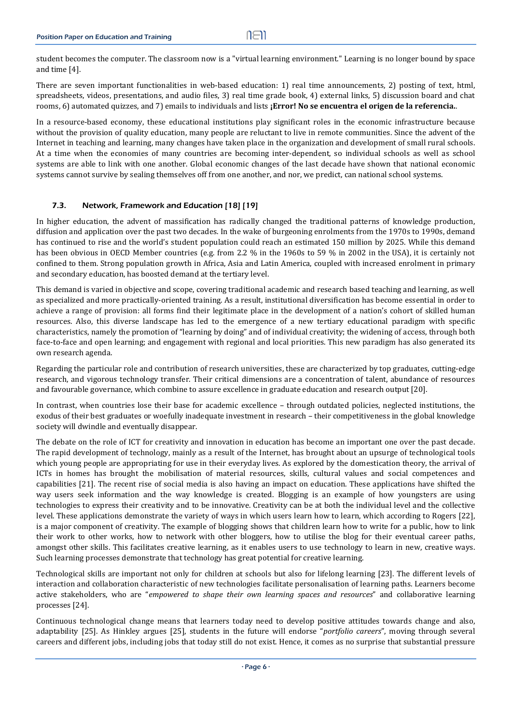student becomes the computer. The classroom now is a "virtual learning environment." Learning is no longer bound by space and time  $[4]$ .

There are seven important functionalities in web-based education: 1) real time announcements, 2) posting of text, html, spreadsheets, videos, presentations, and audio files, 3) real time grade book, 4) external links, 5) discussion board and chat rooms, 6) automated quizzes, and 7) emails to individuals and lists **¡Error! No se encuentra el origen de la referencia.**. 

In a resource-based economy, these educational institutions play significant roles in the economic infrastructure because without the provision of quality education, many people are reluctant to live in remote communities. Since the advent of the Internet in teaching and learning, many changes have taken place in the organization and development of small rural schools. At a time when the economies of many countries are becoming inter-dependent, so individual schools as well as school systems are able to link with one another. Global economic changes of the last decade have shown that national economic systems cannot survive by sealing themselves off from one another, and nor, we predict, can national school systems.

#### 7.3. Network, Framework and Education [18] [19]

In higher education, the advent of massification has radically changed the traditional patterns of knowledge production, diffusion and application over the past two decades. In the wake of burgeoning enrolments from the 1970s to 1990s, demand has continued to rise and the world's student population could reach an estimated 150 million by 2025. While this demand has been obvious in OECD Member countries (e.g. from 2.2  $\%$  in the 1960s to 59  $\%$  in 2002 in the USA), it is certainly not confined to them. Strong population growth in Africa, Asia and Latin America, coupled with increased enrolment in primary and secondary education, has boosted demand at the tertiary level.

This demand is varied in objective and scope, covering traditional academic and research based teaching and learning, as well as specialized and more practically-oriented training. As a result, institutional diversification has become essential in order to achieve a range of provision: all forms find their legitimate place in the development of a nation's cohort of skilled human resources. Also, this diverse landscape has led to the emergence of a new tertiary educational paradigm with specific characteristics, namely the promotion of "learning by doing" and of individual creativity; the widening of access, through both face-to-face and open learning; and engagement with regional and local priorities. This new paradigm has also generated its own research agenda.

Regarding the particular role and contribution of research universities, these are characterized by top graduates, cutting-edge research, and vigorous technology transfer. Their critical dimensions are a concentration of talent, abundance of resources and favourable governance, which combine to assure excellence in graduate education and research output [20].

In contrast, when countries lose their base for academic excellence – through outdated policies, neglected institutions, the exodus of their best graduates or woefully inadequate investment in research - their competitiveness in the global knowledge society will dwindle and eventually disappear.

The debate on the role of ICT for creativity and innovation in education has become an important one over the past decade. The rapid development of technology, mainly as a result of the Internet, has brought about an upsurge of technological tools which young people are appropriating for use in their everyday lives. As explored by the domestication theory, the arrival of ICTs in homes has brought the mobilisation of material resources, skills, cultural values and social competences and capabilities [21]. The recent rise of social media is also having an impact on education. These applications have shifted the way users seek information and the way knowledge is created. Blogging is an example of how youngsters are using technologies to express their creativity and to be innovative. Creativity can be at both the individual level and the collective level. These applications demonstrate the variety of ways in which users learn how to learn, which according to Rogers [22], is a major component of creativity. The example of blogging shows that children learn how to write for a public, how to link their work to other works, how to network with other bloggers, how to utilise the blog for their eventual career paths, amongst other skills. This facilitates creative learning, as it enables users to use technology to learn in new, creative ways. Such learning processes demonstrate that technology has great potential for creative learning.

Technological skills are important not only for children at schools but also for lifelong learning [23]. The different levels of interaction and collaboration characteristic of new technologies facilitate personalisation of learning paths. Learners become active stakeholders, who are "*empowered to shape their own learning spaces and resources*" and collaborative learning processes [24].

Continuous technological change means that learners today need to develop positive attitudes towards change and also, adaptability [25]. As Hinkley argues [25], students in the future will endorse "*portfolio careers*", moving through several careers and different jobs, including jobs that today still do not exist. Hence, it comes as no surprise that substantial pressure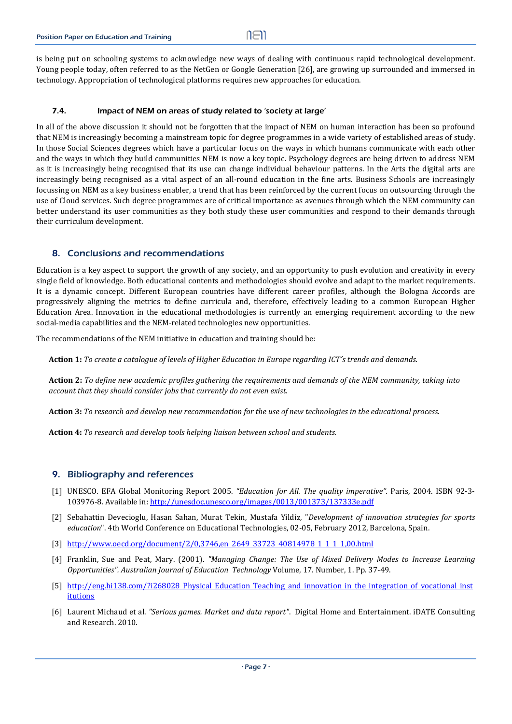is being put on schooling systems to acknowledge new ways of dealing with continuous rapid technological development. Young people today, often referred to as the NetGen or Google Generation [26], are growing up surrounded and immersed in technology. Appropriation of technological platforms requires new approaches for education.

## 7.4. Impact of NEM on areas of study related to 'society at large'

In all of the above discussion it should not be forgotten that the impact of NEM on human interaction has been so profound that NEM is increasingly becoming a mainstream topic for degree programmes in a wide variety of established areas of study. In those Social Sciences degrees which have a particular focus on the ways in which humans communicate with each other and the ways in which they build communities NEM is now a key topic. Psychology degrees are being driven to address NEM as it is increasingly being recognised that its use can change individual behaviour patterns. In the Arts the digital arts are increasingly being recognised as a vital aspect of an all-round education in the fine arts. Business Schools are increasingly focussing on NEM as a key business enabler, a trend that has been reinforced by the current focus on outsourcing through the use of Cloud services. Such degree programmes are of critical importance as avenues through which the NEM community can better understand its user communities as they both study these user communities and respond to their demands through their curriculum development.

# 8. Conclusions and recommendations

Education is a key aspect to support the growth of any society, and an opportunity to push evolution and creativity in every single field of knowledge. Both educational contents and methodologies should evolve and adapt to the market requirements. It is a dynamic concept. Different European countries have different career profiles, although the Bologna Accords are progressively aligning the metrics to define curricula and, therefore, effectively leading to a common European Higher Education Area. Innovation in the educational methodologies is currently an emerging requirement according to the new social-media capabilities and the NEM-related technologies new opportunities.

The recommendations of the NEM initiative in education and training should be:

Action 1: To create a catalogue of levels of Higher Education in Europe regarding ICT's trends and demands.

Action 2: To define new academic profiles gathering the requirements and demands of the NEM community, taking into *account that they should consider jobs that currently do not even exist.*

Action 3: To research and develop new recommendation for the use of new technologies in the educational process.

**Action 4:** *To research and develop tools helping liaison between school and students.*

# 9. Bibliography and references

- [1] UNESCO. EFA Global Monitoring Report 2005. *"Education for All. The quality imperative"*. Paris, 2004. ISBN 92‐3‐ 103976-8. Available in: http://unesdoc.unesco.org/images/0013/001373/137333e.pdf
- [2] Sebahattin Devecioglu, Hasan Sahan, Murat Tekin, Mustafa Yildiz, "*Development of innovation strategies for sports education*". 4th World Conference on Educational Technologies, 02-05, February 2012, Barcelona, Spain.
- [3] http://www.oecd.org/document/2/0,3746,en\_2649\_33723\_40814978\_1\_1\_1\_1,00.html
- [4] Franklin, Sue and Peat, Mary. (2001). *"Managing Change: The Use of Mixed Delivery Modes to Increase Learning Opportunities". Australian Journal of Education Technology* Volume, 17. Number, 1. Pp. 37‐49.
- [5] http://eng.hi138.com/?i268028 Physical Education Teaching and innovation in the integration of vocational inst itutions
- [6] Laurent Michaud et al. *"Serious games. Market and data report"*. Digital Home and Entertainment. iDATE Consulting and Research. 2010.